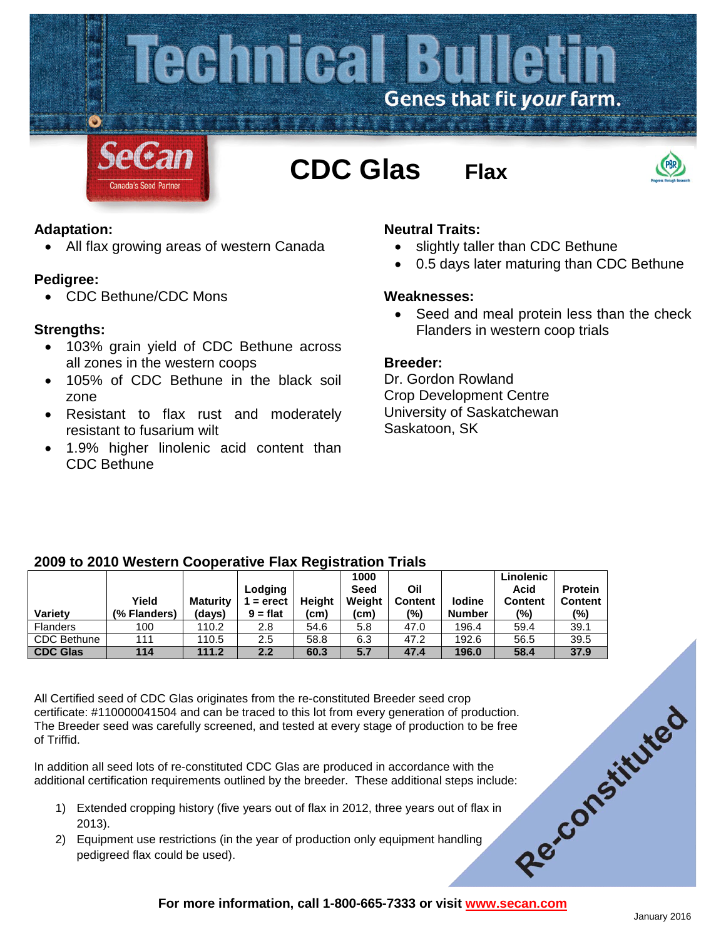

### **Adaptation:**

• All flax growing areas of western Canada

### **Pedigree:**

• CDC Bethune/CDC Mons

## **Strengths:**

- 103% grain yield of CDC Bethune across all zones in the western coops
- 105% of CDC Bethune in the black soil zone
- Resistant to flax rust and moderately resistant to fusarium wilt
- 1.9% higher linolenic acid content than CDC Bethune

# **Neutral Traits:**

- slightly taller than CDC Bethune
- 0.5 days later maturing than CDC Bethune

### **Weaknesses:**

• Seed and meal protein less than the check Flanders in western coop trials

### **Breeder:**

Dr. Gordon Rowland Crop Development Centre University of Saskatchewan Saskatoon, SK

## **2009 to 2010 Western Cooperative Flax Registration Trials**

|                    |              |                 |            |               | 1000        |                |               | Linolenic      |                |
|--------------------|--------------|-----------------|------------|---------------|-------------|----------------|---------------|----------------|----------------|
|                    |              |                 | Lodging    |               | <b>Seed</b> | Oil            |               | Acid           | <b>Protein</b> |
|                    | Yield        | <b>Maturity</b> | $=$ erect  | <b>Height</b> | Weight      | <b>Content</b> | lodine        | <b>Content</b> | <b>Content</b> |
| <b>Variety</b>     | (% Flanders) | (days)          | $9 = flat$ | (cm)          | (cm)        | (%)            | <b>Number</b> | (%)            | (%)            |
| <b>Flanders</b>    | 100          | 110.2           | 2.8        | 54.6          | 5.8         | 47.0           | 196.4         | 59.4           | 39.1           |
| <b>CDC Bethune</b> | 111          | 110.5           | 2.5        | 58.8          | 6.3         | 47.2           | 192.6         | 56.5           | 39.5           |
| <b>CDC Glas</b>    | 114          | 111.2           | 2.2        | 60.3          | 5.7         | 47.4           | 196.0         | 58.4           | 37.9           |

All Certified seed of CDC Glas originates from the re-constituted Breeder seed crop Certificate: #110000041504 and can be traced to this lot from every generation of production.<br>
The Breeder seed was carefully screened, and tested at every stage of production to be free<br>
of Triffid.<br>
In addition all seed The Breeder seed was carefully screened, and tested at every stage of production to be free of Triffid.

In addition all seed lots of re-constituted CDC Glas are produced in accordance with the additional certification requirements outlined by the breeder. These additional steps include:

- 1) Extended cropping history (five years out of flax in 2012, three years out of flax in 2013).
- 2) Equipment use restrictions (in the year of production only equipment handling pedigreed flax could be used).